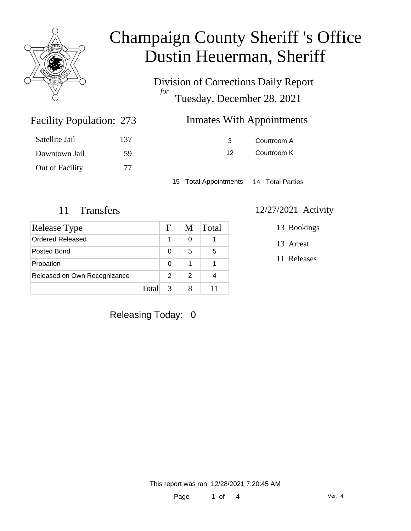

Division of Corrections Daily Report *for* Tuesday, December 28, 2021

| 273 | <b>Inmates With Appointments</b> |
|-----|----------------------------------|
|-----|----------------------------------|

| Satellite Jail  | 137 |
|-----------------|-----|
| Downtown Jail   | 59  |
| Out of Facility | 77  |

Facility Population: 273

3 Courtroom A 12 Courtroom K

15 Total Appointments 14 Total Parties

| Release Type                 |   | M             | Total |
|------------------------------|---|---------------|-------|
| <b>Ordered Released</b>      | 1 | 0             |       |
| Posted Bond                  | 0 | 5             | 5     |
| Probation                    | 0 | 1             |       |
| Released on Own Recognizance | 2 | $\mathcal{P}$ |       |
| Total                        | 3 |               |       |

### 11 Transfers 12/27/2021 Activity

13 Bookings

13 Arrest

11 Releases

Releasing Today: 0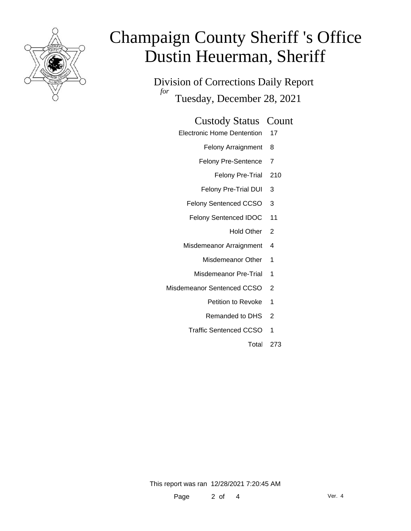

Division of Corrections Daily Report *for* Tuesday, December 28, 2021

#### Custody Status Count

- Electronic Home Dentention 17
	- Felony Arraignment 8
	- Felony Pre-Sentence 7
		- Felony Pre-Trial 210
	- Felony Pre-Trial DUI 3
	- Felony Sentenced CCSO 3
	- Felony Sentenced IDOC 11
		- Hold Other 2
	- Misdemeanor Arraignment 4
		- Misdemeanor Other 1
		- Misdemeanor Pre-Trial 1
- Misdemeanor Sentenced CCSO 2
	- Petition to Revoke 1
	- Remanded to DHS 2
	- Traffic Sentenced CCSO 1
		- Total 273

This report was ran 12/28/2021 7:20:45 AM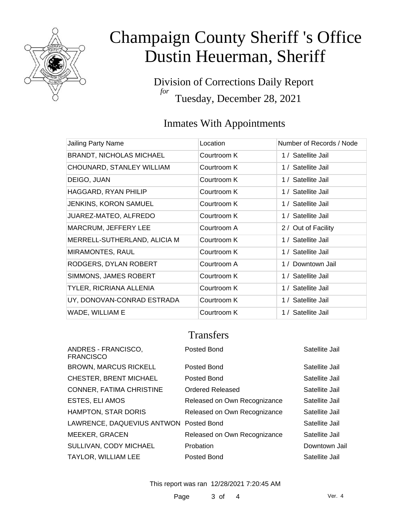

Division of Corrections Daily Report *for* Tuesday, December 28, 2021

### Inmates With Appointments

| Jailing Party Name              | Location    | Number of Records / Node |
|---------------------------------|-------------|--------------------------|
| <b>BRANDT, NICHOLAS MICHAEL</b> | Courtroom K | 1 / Satellite Jail       |
| CHOUNARD, STANLEY WILLIAM       | Courtroom K | 1 / Satellite Jail       |
| DEIGO, JUAN                     | Courtroom K | 1 / Satellite Jail       |
| HAGGARD, RYAN PHILIP            | Courtroom K | 1 / Satellite Jail       |
| <b>JENKINS, KORON SAMUEL</b>    | Courtroom K | 1 / Satellite Jail       |
| JUAREZ-MATEO, ALFREDO           | Courtroom K | 1 / Satellite Jail       |
| MARCRUM, JEFFERY LEE            | Courtroom A | 2 / Out of Facility      |
| MERRELL-SUTHERLAND, ALICIA M    | Courtroom K | 1 / Satellite Jail       |
| MIRAMONTES, RAUL                | Courtroom K | 1 / Satellite Jail       |
| RODGERS, DYLAN ROBERT           | Courtroom A | 1 / Downtown Jail        |
| SIMMONS, JAMES ROBERT           | Courtroom K | 1 / Satellite Jail       |
| TYLER, RICRIANA ALLENIA         | Courtroom K | 1 / Satellite Jail       |
| UY, DONOVAN-CONRAD ESTRADA      | Courtroom K | 1 / Satellite Jail       |
| WADE, WILLIAM E                 | Courtroom K | 1 / Satellite Jail       |

### **Transfers**

| ANDRES - FRANCISCO,<br><b>FRANCISCO</b> | Posted Bond                  | Satellite Jail |
|-----------------------------------------|------------------------------|----------------|
| <b>BROWN, MARCUS RICKELL</b>            | Posted Bond                  | Satellite Jail |
| <b>CHESTER, BRENT MICHAEL</b>           | Posted Bond                  | Satellite Jail |
| CONNER, FATIMA CHRISTINE                | Ordered Released             | Satellite Jail |
| <b>ESTES, ELI AMOS</b>                  | Released on Own Recognizance | Satellite Jail |
| HAMPTON, STAR DORIS                     | Released on Own Recognizance | Satellite Jail |
| LAWRENCE, DAQUEVIUS ANTWON Posted Bond  |                              | Satellite Jail |
| <b>MEEKER, GRACEN</b>                   | Released on Own Recognizance | Satellite Jail |
| SULLIVAN, CODY MICHAEL                  | Probation                    | Downtown Jail  |
| <b>TAYLOR, WILLIAM LEE</b>              | Posted Bond                  | Satellite Jail |

This report was ran 12/28/2021 7:20:45 AM